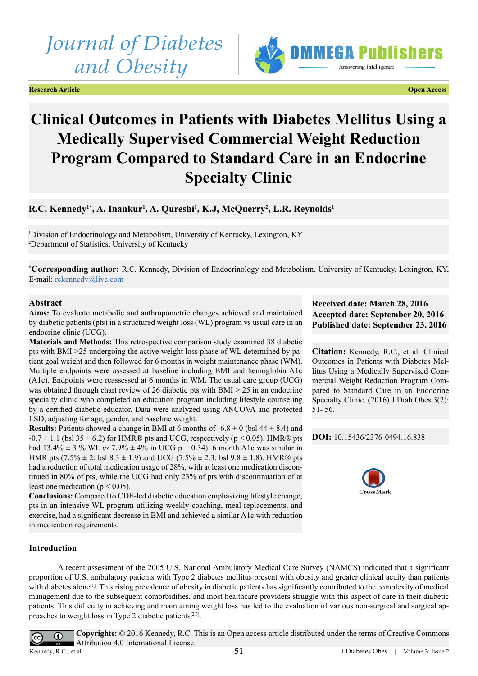# *Journal of Diabetes and Obesity*

**Research Article Open Access**



## **Clinical Outcomes in Patients with Diabetes Mellitus Using a Medically Supervised Commercial Weight Reduction Program Compared to Standard Care in an Endocrine Specialty Clinic**

## **R.C. Kennedy1\*, A. Inankur1 , A. Qureshi1 , K.J, McQuerry2 , L.R. Reynolds1**

1 Division of Endocrinology and Metabolism, University of Kentucky, Lexington, KY 2 Department of Statistics, University of Kentucky

**\* Corresponding author:** R.C. Kennedy, Division of Endocrinology and Metabolism, University of Kentucky, Lexington, KY, E-mail: [rckennedy@live.com](mailto:rckennedy@live.com)

## **Abstract**

**Aims:** To evaluate metabolic and anthropometric changes achieved and maintained by diabetic patients (pts) in a structured weight loss (WL) program vs usual care in an endocrine clinic (UCG).

**Materials and Methods:** This retrospective comparison study examined 38 diabetic pts with BMI >25 undergoing the active weight loss phase of WL determined by patient goal weight and then followed for 6 months in weight maintenance phase (WM). Multiple endpoints were assessed at baseline including BMI and hemoglobin A1c (A1c). Endpoints were reassessed at 6 months in WM. The usual care group (UCG) was obtained through chart review of 26 diabetic pts with BMI > 25 in an endocrine specialty clinic who completed an education program including lifestyle counseling by a certified diabetic educator. Data were analyzed using ANCOVA and protected LSD, adjusting for age, gender, and baseline weight.

**Results:** Patients showed a change in BMI at 6 months of  $-6.8 \pm 0$  (bsl  $44 \pm 8.4$ ) and  $-0.7 \pm 1.1$  (bsl 35  $\pm$  6.2) for HMR® pts and UCG, respectively (p < 0.05). HMR® pts had  $13.4\% \pm 3$  % WL *vs*  $7.9\% \pm 4\%$  in UCG p = 0.34). 6 month A1c was similar in HMR pts  $(7.5\% \pm 2; \text{ b} \text{s} \cdot 1, 8)$  and UCG  $(7.5\% \pm 2.3; \text{ b} \text{s} \cdot 1, 8)$ . HMR® pts had a reduction of total medication usage of 28%, with at least one medication discontinued in 80% of pts, while the UCG had only 23% of pts with discontinuation of at least one medication ( $p < 0.05$ ).

**Conclusions:** Compared to CDE-led diabetic education emphasizing lifestyle change, pts in an intensive WL program utilizing weekly coaching, meal replacements, and exercise, had a significant decrease in BMI and achieved a similar A1c with reduction in medication requirements.

## **Received date: March 28, 2016 Accepted date: September 20, 2016 Published date: September 23, 2016**

**Citation:** Kennedy, R.C., et al. Clinical Outcomes in Patients with Diabetes Mellitus Using a Medically Supervised Commercial Weight Reduction Program Compared to Standard Care in an Endocrine Specialty Clinic. (2016) J Diab Obes 3(2): 51- 56.

**DOI:** [10.15436/2376-0494.16.8](http://www.dx.doi.org/10.15436/2376-0494.16.838
)38



## **Introduction**

A recent assessment of the 2005 U.S. National Ambulatory Medical Care Survey (NAMCS) indicated that a significant proportion of U.S. ambulatory patients with Type 2 diabetes mellitus present with obesity and greater clinical acuity than patients with diabetes alone<sup>[1]</sup>. This rising prevalence of obesity in diabetic patients has significantly contributed to the complexity of medical management due to the subsequent comorbidities, and most healthcare providers struggle with this aspect of care in their diabetic patients. This difficulty in achieving and maintaining weight loss has led to the evaluation of various non-surgical and surgical approaches to weight loss in Type 2 diabetic patients $[2,3]$ .

**Copyrights:** © 2016 Kennedy, R.C. This is an Open access article distributed under the terms of Creative Commons  $\odot$  $\left(\mathrm{cc}\right)$ Attribution 4.0 International License.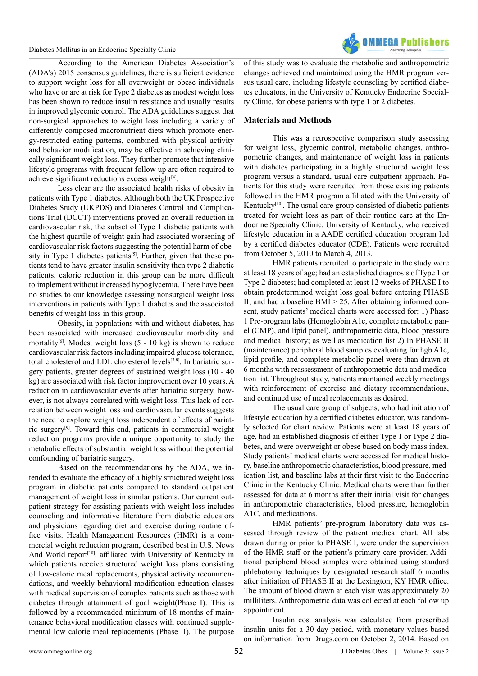Diabetes Mellitus in an Endocrine Specialty Clinic



According to the American Diabetes Association's (ADA's) 2015 consensus guidelines, there is sufficient evidence to support weight loss for all overweight or obese individuals who have or are at risk for Type 2 diabetes as modest weight loss has been shown to reduce insulin resistance and usually results in improved glycemic control. The ADA guidelines suggest that non-surgical approaches to weight loss including a variety of differently composed macronutrient diets which promote energy-restricted eating patterns, combined with physical activity and behavior modification, may be effective in achieving clinically significant weight loss. They further promote that intensive lifestyle programs with frequent follow up are often required to achieve significant reductions excess weight[\[4\].](#page-4-2)

Less clear are the associated health risks of obesity in patients with Type 1 diabetes. Although both the UK Prospective Diabetes Study (UKPDS) and Diabetes Control and Complications Trial (DCCT) interventions proved an overall reduction in cardiovascular risk, the subset of Type 1 diabetic patients with the highest quartile of weight gain had associated worsening of cardiovascular risk factors suggesting the potential harm of obe-sity in Type 1 diabetes patients<sup>[\[5\]](#page-4-3)</sup>. Further, given that these patients tend to have greater insulin sensitivity then type 2 diabetic patients, caloric reduction in this group can be more difficult to implement without increased hypoglycemia. There have been no studies to our knowledge assessing nonsurgical weight loss interventions in patients with Type 1 diabetes and the associated benefits of weight loss in this group.

Obesity, in populations with and without diabetes, has been associated with increased cardiovascular morbidity and mortality<sup>[\[6\]](#page-4-4)</sup>. Modest weight loss  $(5 - 10 \text{ kg})$  is shown to reduce cardiovascular risk factors including impaired glucose tolerance, total cholesterol and LDL cholesterol levels<sup>[7,8]</sup>. In bariatric surgery patients, greater degrees of sustained weight loss (10 - 40 kg) are associated with risk factor improvement over 10 years. A reduction in cardiovascular events after bariatric surgery, however, is not always correlated with weight loss. This lack of correlation between weight loss and cardiovascular events suggests the need to explore weight loss independent of effects of bariatric surger[y\[9\]](#page-4-6). Toward this end, patients in commercial weight reduction programs provide a unique opportunity to study the metabolic effects of substantial weight loss without the potential confounding of bariatric surgery.

Based on the recommendations by the ADA, we intended to evaluate the efficacy of a highly structured weight loss program in diabetic patients compared to standard outpatient management of weight loss in similar patients. Our current outpatient strategy for assisting patients with weight loss includes counseling and informative literature from diabetic educators and physicians regarding diet and exercise during routine office visits. Health Management Resources (HMR) is a commercial weight reduction program, described best in U.S. News And World report<sup>[\[10\]](#page-4-7)</sup>, affiliated with University of Kentucky in which patients receive structured weight loss plans consisting of low-calorie meal replacements, physical activity recommendations, and weekly behavioral modification education classes with medical supervision of complex patients such as those with diabetes through attainment of goal weight(Phase I). This is followed by a recommended minimum of 18 months of maintenance behavioral modification classes with continued supplemental low calorie meal replacements (Phase II). The purpose

of this study was to evaluate the metabolic and anthropometric changes achieved and maintained using the HMR program versus usual care, including lifestyle counseling by certified diabetes educators, in the University of Kentucky Endocrine Specialty Clinic, for obese patients with type 1 or 2 diabetes.

## **Materials and Methods**

This was a retrospective comparison study assessing for weight loss, glycemic control, metabolic changes, anthropometric changes, and maintenance of weight loss in patients with diabetes participating in a highly structured weight loss program versus a standard, usual care outpatient approach. Patients for this study were recruited from those existing patients followed in the HMR program affiliated with the University of Kentucky<sup>[\[10\]](#page-4-7)</sup>. The usual care group consisted of diabetic patients treated for weight loss as part of their routine care at the Endocrine Specialty Clinic, University of Kentucky, who received lifestyle education in a AADE certified education program led by a certified diabetes educator (CDE). Patients were recruited from October 5, 2010 to March 4, 2013.

HMR patients recruited to participate in the study were at least 18 years of age; had an established diagnosis of Type 1 or Type 2 diabetes; had completed at least 12 weeks of PHASE I to obtain predetermined weight loss goal before entering PHASE II; and had a baseline  $BMI > 25$ . After obtaining informed consent, study patients' medical charts were accessed for: 1) Phase 1 Pre-program labs (Hemoglobin A1c, complete metabolic panel (CMP), and lipid panel), anthropometric data, blood pressure and medical history; as well as medication list 2) In PHASE II (maintenance) peripheral blood samples evaluating for hgb A1c, lipid profile, and complete metabolic panel were than drawn at 6 months with reassessment of anthropometric data and medication list. Throughout study, patients maintained weekly meetings with reinforcement of exercise and dietary recommendations, and continued use of meal replacements as desired.

The usual care group of subjects, who had initiation of lifestyle education by a certified diabetes educator, was randomly selected for chart review. Patients were at least 18 years of age, had an established diagnosis of either Type 1 or Type 2 diabetes, and were overweight or obese based on body mass index. Study patients' medical charts were accessed for medical history, baseline anthropometric characteristics, blood pressure, medication list, and baseline labs at their first visit to the Endocrine Clinic in the Kentucky Clinic. Medical charts were than further assessed for data at 6 months after their initial visit for changes in anthropometric characteristics, blood pressure, hemoglobin A1C, and medications.

HMR patients' pre-program laboratory data was assessed through review of the patient medical chart. All labs drawn during or prior to PHASE I, were under the supervision of the HMR staff or the patient's primary care provider. Additional peripheral blood samples were obtained using standard phlebotomy techniques by designated research staff 6 months after initiation of PHASE II at the Lexington, KY HMR office. The amount of blood drawn at each visit was approximately 20 milliliters. Anthropometric data was collected at each follow up appointment.

Insulin cost analysis was calculated from prescribed insulin units for a 30 day period, with monetary values based on information from Drugs.com on October 2, 2014. Based on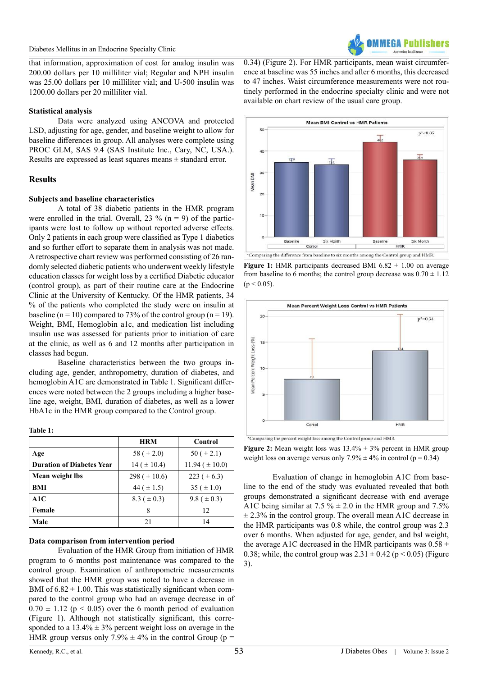

that information, approximation of cost for analog insulin was 200.00 dollars per 10 milliliter vial; Regular and NPH insulin was 25.00 dollars per 10 milliliter vial; and U-500 insulin was 1200.00 dollars per 20 milliliter vial.

## **Statistical analysis**

Data were analyzed using ANCOVA and protected LSD, adjusting for age, gender, and baseline weight to allow for baseline differences in group. All analyses were complete using PROC GLM, SAS 9.4 (SAS Institute Inc., Cary, NC, USA.). Results are expressed as least squares means ± standard error.

## **Results**

## **Subjects and baseline characteristics**

A total of 38 diabetic patients in the HMR program were enrolled in the trial. Overall, 23 % ( $n = 9$ ) of the participants were lost to follow up without reported adverse effects. Only 2 patients in each group were classified as Type 1 diabetics and so further effort to separate them in analysis was not made. A retrospective chart review was performed consisting of 26 randomly selected diabetic patients who underwent weekly lifestyle education classes for weight loss by a certified Diabetic educator (control group), as part of their routine care at the Endocrine Clinic at the University of Kentucky. Of the HMR patients, 34 % of the patients who completed the study were on insulin at baseline (n = 10) compared to 73% of the control group (n = 19). Weight, BMI, Hemoglobin a1c, and medication list including insulin use was assessed for patients prior to initiation of care at the clinic, as well as 6 and 12 months after participation in classes had begun.

Baseline characteristics between the two groups including age, gender, anthropometry, duration of diabetes, and hemoglobin A1C are demonstrated in Table 1. Significant differences were noted between the 2 groups including a higher baseline age, weight, BMI, duration of diabetes, as well as a lower HbA1c in the HMR group compared to the Control group.

#### **Table 1:**

|                                  | <b>HRM</b>        | Control              |
|----------------------------------|-------------------|----------------------|
| Age                              | 58 ( $\pm 2.0$ )  | 50 ( $\pm$ 2.1)      |
| <b>Duration of Diabetes Year</b> | $14 (+ 10.4)$     | $11.94 \ (\pm 10.0)$ |
| Mean weight lbs                  | 298 ( $\pm$ 10.6) | 223 ( $\pm$ 6.3)     |
| BMI                              | 44 ( $\pm$ 1.5)   | $35 (+ 1.0)$         |
| A1C                              | $8.3~(\pm 0.3)$   | 9.8 ( $\pm$ 0.3)     |
| Female                           | 8                 | 12                   |
| Male                             | 21                | 14                   |

### **Data comparison from intervention period**

Evaluation of the HMR Group from initiation of HMR program to 6 months post maintenance was compared to the control group. Examination of anthropometric measurements showed that the HMR group was noted to have a decrease in BMI of  $6.82 \pm 1.00$ . This was statistically significant when compared to the control group who had an average decrease in of  $0.70 \pm 1.12$  (p < 0.05) over the 6 month period of evaluation (Figure 1). Although not statistically significant, this corresponded to a  $13.4\% \pm 3\%$  percent weight loss on average in the HMR group versus only 7.9%  $\pm$  4% in the control Group (p =

0.34) (Figure 2). For HMR participants, mean waist circumference at baseline was 55 inches and after 6 months, this decreased to 47 inches. Waist circumference measurements were not routinely performed in the endocrine specialty clinic and were not available on chart review of the usual care group.



**Figure 1:** HMR participants decreased BMI  $6.82 \pm 1.00$  on average from baseline to 6 months; the control group decrease was  $0.70 \pm 1.12$  $(p < 0.05)$ .



**Figure 2:** Mean weight loss was  $13.4\% \pm 3\%$  percent in HMR group weight loss on average versus only  $7.9\% \pm 4\%$  in control (p = 0.34)

Evaluation of change in hemoglobin A1C from baseline to the end of the study was evaluated revealed that both groups demonstrated a significant decrease with end average A1C being similar at 7.5 %  $\pm$  2.0 in the HMR group and 7.5%  $\pm$  2.3% in the control group. The overall mean A1C decrease in the HMR participants was 0.8 while, the control group was 2.3 over 6 months. When adjusted for age, gender, and bsl weight, the average A1C decreased in the HMR participants was  $0.58 \pm$ 0.38; while, the control group was  $2.31 \pm 0.42$  (p < 0.05) (Figure 3).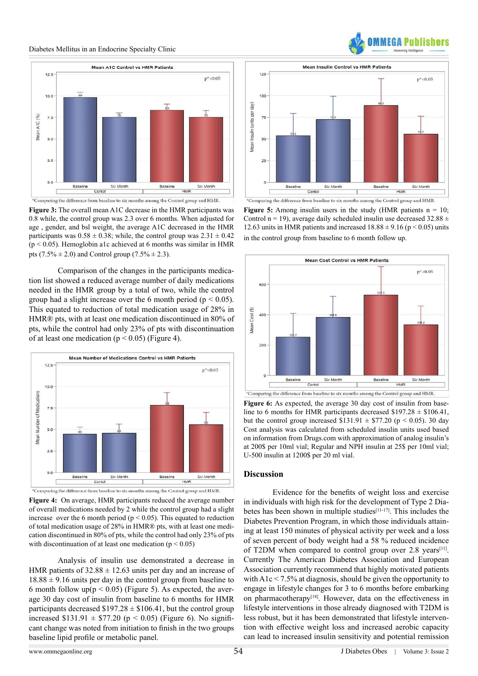#### Diabetes Mellitus in an Endocrine Specialty Clinic



**Figure 3:** The overall mean A1C decrease in the HMR participants was 0.8 while, the control group was 2.3 over 6 months. When adjusted for age , gender, and bsl weight, the average A1C decreased in the HMR participants was  $0.58 \pm 0.38$ ; while, the control group was  $2.31 \pm 0.42$  $(p < 0.05)$ . Hemoglobin a1c achieved at 6 months was similar in HMR pts  $(7.5\% \pm 2.0)$  and Control group  $(7.5\% \pm 2.3)$ .

Comparison of the changes in the participants medication list showed a reduced average number of daily medications needed in the HMR group by a total of two, while the control group had a slight increase over the 6 month period ( $p < 0.05$ ). This equated to reduction of total medication usage of 28% in HMR® pts, with at least one medication discontinued in 80% of pts, while the control had only 23% of pts with discontinuation of at least one medication ( $p < 0.05$ ) (Figure 4).



**Figure 4:** On average, HMR participants reduced the average number of overall medications needed by 2 while the control group had a slight increase over the 6 month period ( $p < 0.05$ ). This equated to reduction of total medication usage of 28% in HMR® pts, with at least one medication discontinued in 80% of pts, while the control had only 23% of pts with discontinuation of at least one medication ( $p < 0.05$ )

Analysis of insulin use demonstrated a decrease in HMR patients of  $32.88 \pm 12.63$  units per day and an increase of  $18.88 \pm 9.16$  units per day in the control group from baseline to 6 month follow up( $p < 0.05$ ) (Figure 5). As expected, the average 30 day cost of insulin from baseline to 6 months for HMR participants decreased  $$197.28 \pm $106.41$ , but the control group increased \$131.91  $\pm$  \$77.20 (p < 0.05) (Figure 6). No significant change was noted from initiation to finish in the two groups baseline lipid profile or metabolic panel.



**MFGA Publis** 

**Figure 5:** Among insulin users in the study (HMR patients  $n = 10$ ; Control n = 19), average daily scheduled insulin use decreased  $32.88 \pm$ 12.63 units in HMR patients and increased  $18.88 \pm 9.16$  (p < 0.05) units in the control group from baseline to 6 month follow up.



Figure 6: As expected, the average 30 day cost of insulin from baseline to 6 months for HMR participants decreased  $$197.28 \pm $106.41$ , but the control group increased  $$131.91 \pm $77.20$  (p < 0.05). 30 day Cost analysis was calculated from scheduled insulin units used based on information from Drugs.com with approximation of analog insulin's at 200\$ per 10ml vial; Regular and NPH insulin at 25\$ per 10ml vial; U-500 insulin at 1200\$ per 20 ml vial.

#### **Discussion**

Evidence for the benefits of weight loss and exercise in individuals with high risk for the development of Type 2 Diabetes has been shown in multiple studie[s\[11-17\]](#page-4-8). This includes the Diabetes Prevention Program, in which those individuals attaining at least 150 minutes of physical activity per week and a loss of seven percent of body weight had a 58 % reduced incidence of T2DM when compared to control group over  $2.8$  years<sup>[11]</sup>. Currently The American Diabetes Association and European Association currently recommend that highly motivated patients with  $A1c < 7.5\%$  at diagnosis, should be given the opportunity to engage in lifestyle changes for 3 to 6 months before embarking on pharmacotherapy<sup>[\[18\]](#page-5-0)</sup>. However, data on the effectiveness in lifestyle interventions in those already diagnosed with T2DM is less robust, but it has been demonstrated that lifestyle intervention with effective weight loss and increased aerobic capacity can lead to increased insulin sensitivity and potential remission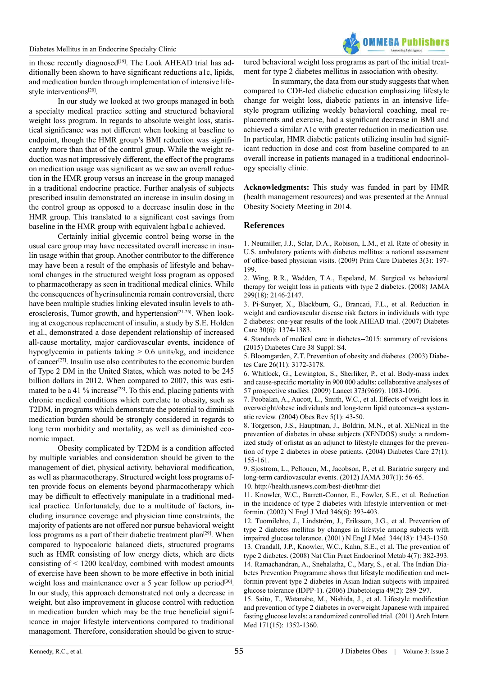

in those recently diagnosed<sup>[19]</sup>. The Look AHEAD trial has additionally been shown to have significant reductions a1c, lipids, and medication burden through implementation of intensive life-style interventions<sup>[\[20\]](#page-5-2)</sup>.

In our study we looked at two groups managed in both a specialty medical practice setting and structured behavioral weight loss program. In regards to absolute weight loss, statistical significance was not different when looking at baseline to endpoint, though the HMR group's BMI reduction was significantly more than that of the control group. While the weight reduction was not impressively different, the effect of the programs on medication usage was significant as we saw an overall reduction in the HMR group versus an increase in the group managed in a traditional endocrine practice. Further analysis of subjects prescribed insulin demonstrated an increase in insulin dosing in the control group as opposed to a decrease insulin dose in the HMR group. This translated to a significant cost savings from baseline in the HMR group with equivalent hgba1c achieved.

Certainly initial glycemic control being worse in the usual care group may have necessitated overall increase in insulin usage within that group. Another contributor to the difference may have been a result of the emphasis of lifestyle and behavioral changes in the structured weight loss program as opposed to pharmacotherapy as seen in traditional medical clinics. While the consequences of hyerinsulinemia remain controversial, there have been multiple studies linking elevated insulin levels to atherosclerosis, Tumor growth, and hypertension<sup>[21-26]</sup>. When looking at exogenous replacement of insulin, a study by S.E. Holden et al., demonstrated a dose dependent relationship of increased all-cause mortality, major cardiovascular events, incidence of hypoglycemia in patients taking > 0.6 units/kg, and incidence of cancer[\[27\]](#page-5-4). Insulin use also contributes to the economic burden of Type 2 DM in the United States, which was noted to be 245 billion dollars in 2012. When compared to 2007, this was estimated to be a 41 % increase<sup>[28]</sup>. To this end, placing patients with chronic medical conditions which correlate to obesity, such as T2DM, in programs which demonstrate the potential to diminish medication burden should be strongly considered in regards to long term morbidity and mortality, as well as diminished economic impact.

Obesity complicated by T2DM is a condition affected by multiple variables and consideration should be given to the management of diet, physical activity, behavioral modification, as well as pharmacotherapy. Structured weight loss programs often provide focus on elements beyond pharmacotherapy which may be difficult to effectively manipulate in a traditional medical practice. Unfortunately, due to a multitude of factors, including insurance coverage and physician time constraints, the majority of patients are not offered nor pursue behavioral weight loss programs as a part of their diabetic treatment plan<sup>[29]</sup>. When compared to hypocaloric balanced diets, structured programs such as HMR consisting of low energy diets, which are diets consisting of < 1200 kcal/day, combined with modest amounts of exercise have been shown to be more effective in both initial weight loss and maintenance over a 5 year follow up period<sup>[30]</sup>. In our study, this approach demonstrated not only a decrease in weight, but also improvement in glucose control with reduction in medication burden which may be the true beneficial significance in major lifestyle interventions compared to traditional management. Therefore, consideration should be given to structured behavioral weight loss programs as part of the initial treatment for type 2 diabetes mellitus in association with obesity.

In summary, the data from our study suggests that when compared to CDE-led diabetic education emphasizing lifestyle change for weight loss, diabetic patients in an intensive lifestyle program utilizing weekly behavioral coaching, meal replacements and exercise, had a significant decrease in BMI and achieved a similar A1c with greater reduction in medication use. In particular, HMR diabetic patients utilizing insulin had significant reduction in dose and cost from baseline compared to an overall increase in patients managed in a traditional endocrinology specialty clinic.

**Acknowledgments:** This study was funded in part by HMR (health management resources) and was presented at the Annual Obesity Society Meeting in 2014.

### **References**

<span id="page-4-0"></span>1. [Neumiller, J.J., Sclar, D.A., Robison, L.M., et al. Rate of obesity in](http://www.ncbi.nlm.nih.gov/pubmed/19646941) [U.S. ambulatory patients with diabetes mellitus: a national assessment](http://www.ncbi.nlm.nih.gov/pubmed/19646941) [of office-based physician visits. \(2009\) Prim Care Diabetes 3\(3\): 197-](http://www.ncbi.nlm.nih.gov/pubmed/19646941) [199.](http://www.ncbi.nlm.nih.gov/pubmed/19646941)

<span id="page-4-1"></span>2. [Wing, R.R., Wadden, T.A., Espeland, M. Surgical vs behavioral](http://www.ncbi.nlm.nih.gov/pubmed/18477778) [therapy for weight loss in patients with type 2 diabetes. \(2008\) JAMA](http://www.ncbi.nlm.nih.gov/pubmed/18477778) [299\(18\): 2146-2147.](http://www.ncbi.nlm.nih.gov/pubmed/18477778)

3. [Pi-Sunyer, X., Blackburn, G., Brancati, F.L., et al. Reduction in](http://www.ncbi.nlm.nih.gov/pubmed/17363746) [weight and cardiovascular disease risk factors in individuals with type](http://www.ncbi.nlm.nih.gov/pubmed/17363746) [2 diabetes: one-year results of the look AHEAD trial. \(2007\) Diabetes](http://www.ncbi.nlm.nih.gov/pubmed/17363746) [Care 30\(6\): 1374-1383.](http://www.ncbi.nlm.nih.gov/pubmed/17363746)

<span id="page-4-2"></span>4. [Standards of medical care in diabetes--2015: summary of revisions.](http://www.ncbi.nlm.nih.gov/pubmed/25537706) [\(2015\) Diabetes Care 38 Suppl: S4.](http://www.ncbi.nlm.nih.gov/pubmed/25537706)

<span id="page-4-3"></span>5[. Bloomgarden, Z.T. Prevention of obesity and diabetes. \(2003\) Diabe](http://www.ncbi.nlm.nih.gov/pubmed/14578257)[tes Care 26\(11\): 3172-3178.](http://www.ncbi.nlm.nih.gov/pubmed/14578257)

<span id="page-4-4"></span>6. [Whitlock, G., Lewington, S., Sherliker, P., et al. Body-mass index](http://www.ncbi.nlm.nih.gov/pubmed/19299006) [and cause-specific mortality in 900 000 adults: collaborative analyses of](http://www.ncbi.nlm.nih.gov/pubmed/19299006) [57 prospective studies. \(2009\) Lancet 373\(9669\): 1083-1096.](http://www.ncbi.nlm.nih.gov/pubmed/19299006)

<span id="page-4-5"></span>7. [Poobalan, A., Aucott, L., Smith, W.C., et al. Effects of weight loss in](http://www.ncbi.nlm.nih.gov/pubmed/14969506) [overweight/obese individuals and long-term lipid outcomes--a system](http://www.ncbi.nlm.nih.gov/pubmed/14969506)[atic review. \(2004\) Obes Rev 5\(1\): 43-50.](http://www.ncbi.nlm.nih.gov/pubmed/14969506)

8. [Torgerson, J.S., Hauptman, J., Boldrin, M.N., et al. XENical in the](http://www.ncbi.nlm.nih.gov/pubmed/14693982) [prevention of diabetes in obese subjects \(XENDOS\) study: a random](http://www.ncbi.nlm.nih.gov/pubmed/14693982)[ized study of orlistat as an adjunct to lifestyle changes for the preven](http://www.ncbi.nlm.nih.gov/pubmed/14693982)[tion of type 2 diabetes in obese patients. \(2004\) Diabetes Care 27\(1\):](http://www.ncbi.nlm.nih.gov/pubmed/14693982) [155-161.](http://www.ncbi.nlm.nih.gov/pubmed/14693982)

<span id="page-4-6"></span>9. [Sjostrom, L., Peltonen, M., Jacobson, P., et al. Bariatric surgery and](http://www.ncbi.nlm.nih.gov/pubmed/22215166) [long-term cardiovascular events. \(2012\) JAMA 307\(1\): 56-65.](http://www.ncbi.nlm.nih.gov/pubmed/22215166)

<span id="page-4-7"></span>10.<http://health.usnews.com/best-diet/hmr-diet>

<span id="page-4-8"></span>11. [Knowler, W.C., Barrett-Connor, E., Fowler, S.E., et al. Reduction](http://www.ncbi.nlm.nih.gov/pubmed/11832527) [in the incidence of type 2 diabetes with lifestyle intervention or met](http://www.ncbi.nlm.nih.gov/pubmed/11832527)[formin. \(2002\) N Engl J Med 346\(6\): 393-403.](http://www.ncbi.nlm.nih.gov/pubmed/11832527)

12. [Tuomilehto, J., Lindström, J., Eriksson, J.G., et al. Prevention of](http://www.ncbi.nlm.nih.gov/pubmed/11333990) [type 2 diabetes mellitus by changes in lifestyle among subjects with](http://www.ncbi.nlm.nih.gov/pubmed/11333990) [impaired glucose tolerance. \(2001\) N Engl J Med 344\(18\): 1343-1350.](http://www.ncbi.nlm.nih.gov/pubmed/11333990) 13. [Crandall, J.P., Knowler, W.C., Kahn, S.E., et al. The prevention of](http://www.ncbi.nlm.nih.gov/pubmed/18493227) [type 2 diabetes. \(2008\) Nat Clin Pract Endocrinol Metab 4\(7\): 382-393.](http://www.ncbi.nlm.nih.gov/pubmed/18493227) 14. [Ramachandran, A., Snehalatha, C., Mary, S., et al. The Indian Dia](http://www.ncbi.nlm.nih.gov/pubmed/16391903)[betes Prevention Programme shows that lifestyle modification and met](http://www.ncbi.nlm.nih.gov/pubmed/16391903)[formin prevent type 2 diabetes in Asian Indian subjects with impaired](http://www.ncbi.nlm.nih.gov/pubmed/16391903) [glucose tolerance \(IDPP-1\). \(2006\) Diabetologia 49\(2\): 289-297.](http://www.ncbi.nlm.nih.gov/pubmed/16391903)

15. [Saito, T., Watanabe, M., Nishida, J., et al. Lifestyle modification](http://www.ncbi.nlm.nih.gov/pubmed/21824948) [and prevention of type 2 diabetes in overweight Japanese with impaired](http://www.ncbi.nlm.nih.gov/pubmed/21824948) [fasting glucose levels: a randomized controlled trial. \(2011\) Arch Intern](http://www.ncbi.nlm.nih.gov/pubmed/21824948) [Med 171\(15\): 1352-1360.](http://www.ncbi.nlm.nih.gov/pubmed/21824948)